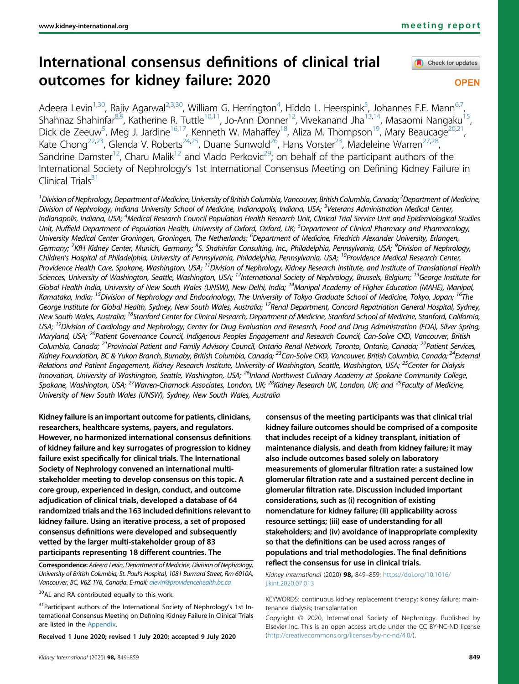# International consensus definitions of clinical trial outcomes for kidney failure: 2020

Check for updates

**OPEN** 

Adeera Levin<sup>1,[30](#page-0-1)</sup>, Rajiv Agarwal<sup>2,[3](#page-0-2),30</sup>, William G. Herrington<sup>4</sup>, Hiddo L. Heerspink<sup>5</sup>, Johannes F.E. Mann<sup>[6](#page-0-5)[,7](#page-0-6)</sup> , Shahnaz Shahinfar<sup>8,9</sup>, Katherine R. Tuttle<sup>10,11</sup>, Jo-Ann Donner<sup>[12](#page-0-9)</sup>, Vivekanand Jha<sup>13[,14](#page-0-10)</sup>, Masaomi Nangaku<sup>15</sup>, Dick de Zeeuw<sup>5</sup>, Meg J. Jardine<sup>[16](#page-0-11),17</sup>, Kenneth W. Mahaffey<sup>18</sup>, Aliza M. Thompson<sup>19</sup>, Mary Beaucage<sup>20,[21](#page-0-16)</sup>, Kate Chong<sup>22,23</sup>, Glenda V. Roberts<sup>24,[25](#page-0-18)</sup>, Duane Sunwold<sup>26</sup>, Hans Vorster<sup>23</sup>, Madeleine Warren<sup>27,28</sup>, Sandrine Damster<sup>12</sup>, Charu Malik<sup>12</sup> and Vlado Perkovic<sup>29</sup>; on behalf of the participant authors of the International Society of Nephrology's 1st International Consensus Meeting on Defining Kidney Failure in Clinical Trials $31$ 

<span id="page-0-12"></span><span id="page-0-11"></span><span id="page-0-10"></span><span id="page-0-9"></span><span id="page-0-8"></span><span id="page-0-7"></span><span id="page-0-6"></span><span id="page-0-5"></span><span id="page-0-4"></span><span id="page-0-3"></span><span id="page-0-2"></span><span id="page-0-0"></span><sup>1</sup> Division of Nephrology, Department of Medicine, University of British Columbia, Vancouver, British Columbia, Canada; <sup>2</sup>Department of Medicine, Division of Nephrology, Indiana University School of Medicine, Indianapolis, Indiana, USA; <sup>3</sup>Veterans Administration Medical Center, Indianapolis, Indiana, USA; <sup>4</sup>Medical Research Council Population Health Research Unit, Clinical Trial Service Unit and Epidemiological Studies Unit, Nuffield Department of Population Health, University of Oxford, Oxford, UK; <sup>5</sup>Department of Clinical Pharmacy and Pharmacology, University Medical Center Groningen, Groningen, The Netherlands; <sup>6</sup>Department of Medicine, Friedrich Alexander University, Erlangen, Germany; <sup>7</sup>KfH Kidney Center, Munich, Germany; <sup>8</sup>S. Shahinfar Consulting, Inc., Philadelphia, Pennsylvania, USA; <sup>9</sup>Division of Nephrology, Children's Hospital of Philadelphia, University of Pennsylvania, Philadelphia, Pennsylvania, USA; <sup>10</sup>Providence Medical Research Center, Providence Health Care, Spokane, Washington, USA; <sup>11</sup>Division of Nephrology, Kidney Research Institute, and Institute of Translational Health Sciences, University of Washington, Seattle, Washington, USA; <sup>12</sup>International Society of Nephrology, Brussels, Belgium; <sup>13</sup>George Institute for Global Health India, University of New South Wales (UNSW), New Delhi, India; <sup>14</sup>Manipal Academy of Higher Education (MAHE), Manipal, Kamataka, India; <sup>15</sup>Division of Nephrology and Endocrinology, The University of Tokyo Graduate School of Medicine, Tokyo, Japan; <sup>16</sup>The George Institute for Global Health, Sydney, New South Wales, Australia; <sup>17</sup>Renal Department, Concord Repatriation General Hospital, Sydney, New South Wales, Australia; <sup>18</sup>Stanford Center for Clinical Research, Department of Medicine, Stanford School of Medicine, Stanford, California, USA; <sup>19</sup>Division of Cardiology and Nephrology, Center for Drug Evaluation and Research, Food and Drug Administration (FDA), Silver Spring, Maryland, USA; <sup>20</sup>Patient Governance Council, Indigenous Peoples Engagement and Research Council, Can-Solve CKD, Vancouver, British Columbia, Canada; <sup>21</sup> Provincial Patient and Family Advisory Council, Ontario Renal Network, Toronto, Ontario, Canada; <sup>22</sup>Patient Services, Kidney Foundation, BC & Yukon Branch, Burnaby, British Columbia, Canada; <sup>23</sup>Can-Solve CKD, Vancouver, British Columbia, Canada; <sup>24</sup>External Relations and Patient Engagement, Kidney Research Institute, University of Washington, Seattle, Washington, USA; <sup>25</sup>Center for Dialysis Innovation, University of Washington, Seattle, Washington, USA; <sup>26</sup>Inland Northwest Culinary Academy at Spokane Community College, Spokane, Washington, USA; <sup>27</sup>Warren-Charnock Associates, London, UK; <sup>28</sup>Kidney Research UK, London, UK; and <sup>29</sup>Faculty of Medicine, University of New South Wales (UNSW), Sydney, New South Wales, Australia

<span id="page-0-20"></span><span id="page-0-19"></span><span id="page-0-18"></span><span id="page-0-17"></span><span id="page-0-16"></span><span id="page-0-15"></span><span id="page-0-14"></span><span id="page-0-13"></span>Kidney failure is an important outcome for patients, clinicians, researchers, healthcare systems, payers, and regulators. However, no harmonized international consensus definitions of kidney failure and key surrogates of progression to kidney failure exist specifically for clinical trials. The International Society of Nephrology convened an international multistakeholder meeting to develop consensus on this topic. A core group, experienced in design, conduct, and outcome adjudication of clinical trials, developed a database of 64 randomized trials and the 163 included definitions relevant to kidney failure. Using an iterative process, a set of proposed consensus definitions were developed and subsequently vetted by the larger multi-stakeholder group of 83 participants representing 18 different countries. The

Correspondence: Adeera Levin, Department of Medicine, Division of Nephrology, University of British Columbia, St. Paul's Hospital, 1081 Burrrard Street, Rm 6010A, Vancouver, BC, V6Z 1Y6, Canada. E-mail: [alevin@providencehealth.bc.ca](mailto:alevin@providencehealth.bc.ca)

<span id="page-0-1"></span><sup>30</sup>AL and RA contributed equally to this work.

<span id="page-0-21"></span><sup>31</sup> Participant authors of the International Society of Nephrology's 1st International Consensus Meeting on Defining Kidney Failure in Clinical Trials are listed in the [Appendix](#page-6-0).

Received 1 June 2020; revised 1 July 2020; accepted 9 July 2020

consensus of the meeting participants was that clinical trial kidney failure outcomes should be comprised of a composite that includes receipt of a kidney transplant, initiation of maintenance dialysis, and death from kidney failure; it may also include outcomes based solely on laboratory measurements of glomerular filtration rate: a sustained low glomerular filtration rate and a sustained percent decline in glomerular filtration rate. Discussion included important considerations, such as (i) recognition of existing nomenclature for kidney failure; (ii) applicability across resource settings; (iii) ease of understanding for all stakeholders; and (iv) avoidance of inappropriate complexity so that the definitions can be used across ranges of populations and trial methodologies. The final definitions reflect the consensus for use in clinical trials.

Kidney International (2020) 98, 849–859; [https://doi.org/10.1016/](https://doi.org/10.1016/j.kint.2020.07.013) [j.kint.2020.07.013](https://doi.org/10.1016/j.kint.2020.07.013)

KEYWORDS: continuous kidney replacement therapy; kidney failure; maintenance dialysis; transplantation

Copyright © 2020, International Society of Nephrology. Published by Elsevier Inc. This is an open access article under the CC BY-NC-ND license [\(http://creativecommons.org/licenses/by-nc-nd/4.0/](http://creativecommons.org/licenses/by-nc-nd/4.0/)).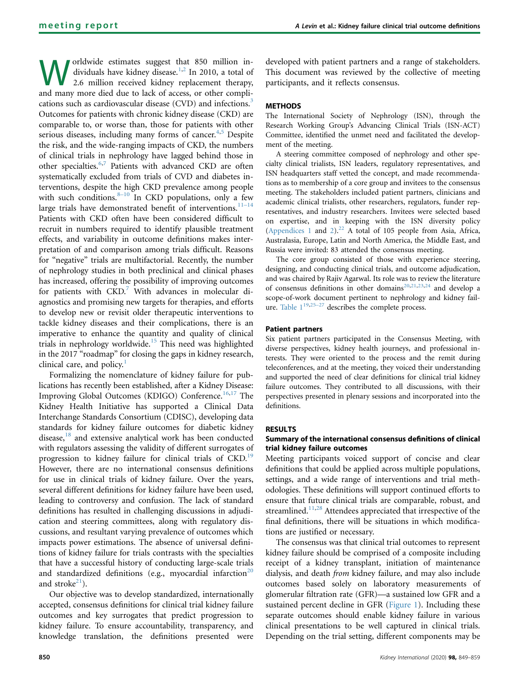Worldwide estimates suggest that 850 million in-<br>dividuals have kidney disease.<sup>1,2</sup> In 2010, a total of<br>2.6 million received kidney replacement therapy, dividuals have kidney disease.<sup>[1](#page-9-0)[,2](#page-9-1)</sup> In 2010, a total of 2.6 million received kidney replacement therapy, and many more died due to lack of access, or other compli-cations such as cardiovascular disease (CVD) and infections.<sup>[3](#page-9-2)</sup> Outcomes for patients with chronic kidney disease (CKD) are comparable to, or worse than, those for patients with other serious diseases, including many forms of cancer.<sup>[4,](#page-9-3)[5](#page-9-4)</sup> Despite the risk, and the wide-ranging impacts of CKD, the numbers of clinical trials in nephrology have lagged behind those in other specialties.<sup>[6](#page-9-5)[,7](#page-9-6)</sup> Patients with advanced CKD are often systematically excluded from trials of CVD and diabetes interventions, despite the high CKD prevalence among people with such conditions.  $8-10$  $8-10$  In CKD populations, only a few large trials have demonstrated benefit of interventions.<sup>11–[14](#page-9-8)</sup> Patients with CKD often have been considered difficult to recruit in numbers required to identify plausible treatment effects, and variability in outcome definitions makes interpretation of and comparison among trials difficult. Reasons for "negative" trials are multifactorial. Recently, the number of nephrology studies in both preclinical and clinical phases has increased, offering the possibility of improving outcomes for patients with  $CKD$ .<sup>[7](#page-9-6)</sup> With advances in molecular diagnostics and promising new targets for therapies, and efforts to develop new or revisit older therapeutic interventions to tackle kidney diseases and their complications, there is an imperative to enhance the quantity and quality of clinical trials in nephrology worldwide.<sup>[15](#page-9-9)</sup> This need was highlighted in the 2017 "roadmap" for closing the gaps in kidney research, clinical care, and policy. $\frac{1}{1}$  $\frac{1}{1}$  $\frac{1}{1}$ 

Formalizing the nomenclature of kidney failure for publications has recently been established, after a Kidney Disease: Improving Global Outcomes (KDIGO) Conference.<sup>[16,](#page-9-10)[17](#page-9-11)</sup> The Kidney Health Initiative has supported a Clinical Data Interchange Standards Consortium (CDISC), developing data standards for kidney failure outcomes for diabetic kidney disease,<sup>[18](#page-9-12)</sup> and extensive analytical work has been conducted with regulators assessing the validity of different surrogates of progression to kidney failure for clinical trials of CKD.<sup>[19](#page-9-13)</sup> However, there are no international consensus definitions for use in clinical trials of kidney failure. Over the years, several different definitions for kidney failure have been used, leading to controversy and confusion. The lack of standard definitions has resulted in challenging discussions in adjudication and steering committees, along with regulatory discussions, and resultant varying prevalence of outcomes which impacts power estimations. The absence of universal definitions of kidney failure for trials contrasts with the specialties that have a successful history of conducting large-scale trials and standardized definitions (e.g., myocardial infarction<sup>[20](#page-9-14)</sup> and stroke<sup> $21$ </sup>).

Our objective was to develop standardized, internationally accepted, consensus definitions for clinical trial kidney failure outcomes and key surrogates that predict progression to kidney failure. To ensure accountability, transparency, and knowledge translation, the definitions presented were developed with patient partners and a range of stakeholders. This document was reviewed by the collective of meeting participants, and it reflects consensus.

# **METHODS**

The International Society of Nephrology (ISN), through the Research Working Group's Advancing Clinical Trials (ISN-ACT) Committee, identified the unmet need and facilitated the development of the meeting.

A steering committee composed of nephrology and other specialty clinical trialists, ISN leaders, regulatory representatives, and ISN headquarters staff vetted the concept, and made recommendations as to membership of a core group and invitees to the consensus meeting. The stakeholders included patient partners, clinicians and academic clinical trialists, other researchers, regulators, funder representatives, and industry researchers. Invitees were selected based on expertise, and in keeping with the ISN diversity policy [\(Appendices 1](#page-6-0) and [2](#page-8-0)). $^{22}$  $^{22}$  $^{22}$  A total of 105 people from Asia, Africa, Australasia, Europe, Latin and North America, the Middle East, and Russia were invited: 83 attended the consensus meeting.

The core group consisted of those with experience steering, designing, and conducting clinical trials, and outcome adjudication, and was chaired by Rajiv Agarwal. Its role was to review the literature of consensus definitions in other domains<sup>[20,](#page-9-14)[21,](#page-9-15)[23](#page-9-17)[,24](#page-9-18)</sup> and develop a scope-of-work document pertinent to nephrology and kidney failure. Table  $1^{19,25-27}$  $1^{19,25-27}$  $1^{19,25-27}$  $1^{19,25-27}$  describes the complete process.

## Patient partners

Six patient partners participated in the Consensus Meeting, with diverse perspectives, kidney health journeys, and professional interests. They were oriented to the process and the remit during teleconferences, and at the meeting, they voiced their understanding and supported the need of clear definitions for clinical trial kidney failure outcomes. They contributed to all discussions, with their perspectives presented in plenary sessions and incorporated into the definitions.

# RESULTS

## Summary of the international consensus definitions of clinical trial kidney failure outcomes

Meeting participants voiced support of concise and clear definitions that could be applied across multiple populations, settings, and a wide range of interventions and trial methodologies. These definitions will support continued efforts to ensure that future clinical trials are comparable, robust, and streamlined. $11,28$  $11,28$  $11,28$  Attendees appreciated that irrespective of the final definitions, there will be situations in which modifications are justified or necessary.

The consensus was that clinical trial outcomes to represent kidney failure should be comprised of a composite including receipt of a kidney transplant, initiation of maintenance dialysis, and death from kidney failure, and may also include outcomes based solely on laboratory measurements of glomerular filtration rate (GFR)—a sustained low GFR and a sustained percent decline in GFR [\(Figure 1](#page-3-0)). Including these separate outcomes should enable kidney failure in various clinical presentations to be well captured in clinical trials. Depending on the trial setting, different components may be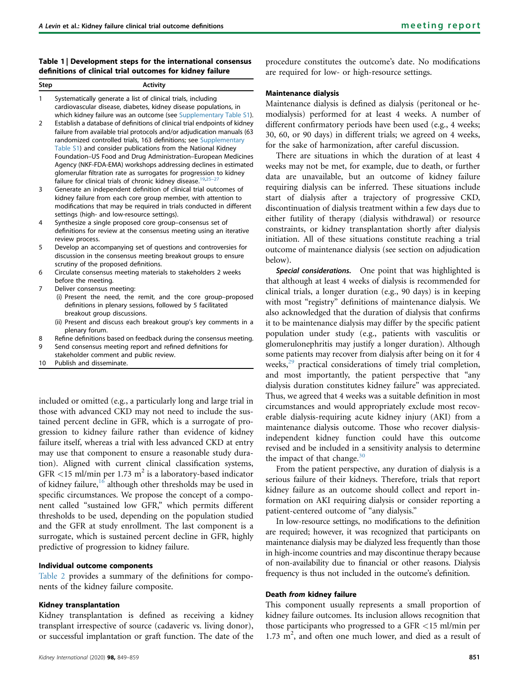# <span id="page-2-0"></span>Table 1 | Development steps for the international consensus definitions of clinical trial outcomes for kidney failure

| Step | <b>Activity</b>                                                                                                                                                                                                                                                                                                                                                                                                                                                                                                                                                                 |                                                              |
|------|---------------------------------------------------------------------------------------------------------------------------------------------------------------------------------------------------------------------------------------------------------------------------------------------------------------------------------------------------------------------------------------------------------------------------------------------------------------------------------------------------------------------------------------------------------------------------------|--------------------------------------------------------------|
| 1    | Systematically generate a list of clinical trials, including<br>cardiovascular disease, diabetes, kidney disease populations, in<br>which kidney failure was an outcome (see Supplementary Table S1).                                                                                                                                                                                                                                                                                                                                                                           | Mainter<br>Mainte:<br>modial                                 |
| 2    | Establish a database of definitions of clinical trial endpoints of kidney<br>failure from available trial protocols and/or adjudication manuals (63<br>randomized controlled trials, 163 definitions; see Supplementary<br>Table S1) and consider publications from the National Kidney<br>Foundation-US Food and Drug Administration-European Medicines<br>Agency (NKF-FDA-EMA) workshops addressing declines in estimated<br>glomerular filtration rate as surrogates for progression to kidney<br>failure for clinical trials of chronic kidney disease. <sup>19,25-27</sup> | differer<br>30, 60,<br>for the<br>Thei<br>weeks t<br>data ai |
| 3    | Generate an independent definition of clinical trial outcomes of<br>kidney failure from each core group member, with attention to<br>modifications that may be required in trials conducted in different<br>settings (high- and low-resource settings).                                                                                                                                                                                                                                                                                                                         | requirii<br>start o<br>discont<br>either 1                   |
| 4    | Synthesize a single proposed core group-consensus set of<br>definitions for review at the consensus meeting using an iterative<br>review process.                                                                                                                                                                                                                                                                                                                                                                                                                               | constra<br>initiatio                                         |
| 5    | Develop an accompanying set of questions and controversies for<br>discussion in the consensus meeting breakout groups to ensure<br>scrutiny of the proposed definitions.                                                                                                                                                                                                                                                                                                                                                                                                        | outcom<br>below).                                            |
| 6    | Circulate consensus meeting materials to stakeholders 2 weeks<br>before the meeting.                                                                                                                                                                                                                                                                                                                                                                                                                                                                                            | Spec<br>that alt                                             |
| 7    | Deliver consensus meeting:<br>(i) Present the need, the remit, and the core group-proposed<br>definitions in plenary sessions, followed by 5 facilitated<br>breakout group discussions.<br>(ii) Present and discuss each breakout group's key comments in a                                                                                                                                                                                                                                                                                                                     | clinical<br>with m<br>also acl<br>it to be                   |
| 8    | plenary forum.<br>Refine definitions based on feedback during the consensus meeting.                                                                                                                                                                                                                                                                                                                                                                                                                                                                                            | populat                                                      |
| 9    | Send consensus meeting report and refined definitions for<br>stakeholder comment and public review.                                                                                                                                                                                                                                                                                                                                                                                                                                                                             | glomer<br>some p                                             |

10 Publish and disseminate.

included or omitted (e.g., a particularly long and large trial in those with advanced CKD may not need to include the sustained percent decline in GFR, which is a surrogate of progression to kidney failure rather than evidence of kidney failure itself, whereas a trial with less advanced CKD at entry may use that component to ensure a reasonable study duration). Aligned with current clinical classification systems, GFR  $\langle 15 \text{ ml/min per } 1.73 \text{ m}^2$  is a laboratory-based indicator of kidney failure,<sup>[16](#page-9-10)</sup> although other thresholds may be used in specific circumstances. We propose the concept of a component called "sustained low GFR," which permits different thresholds to be used, depending on the population studied and the GFR at study enrollment. The last component is a surrogate, which is sustained percent decline in GFR, highly predictive of progression to kidney failure.

# Individual outcome components

[Table 2](#page-3-1) provides a summary of the definitions for components of the kidney failure composite.

# Kidney transplantation

Kidney transplantation is defined as receiving a kidney transplant irrespective of source (cadaveric vs. living donor), or successful implantation or graft function. The date of the procedure constitutes the outcome's date. No modifications are required for low- or high-resource settings.

#### nance dialysis

mance dialysis is defined as dialysis (peritoneal or helysis) performed for at least 4 weeks. A number of nt confirmatory periods have been used (e.g., 4 weeks; or 90 days) in different trials; we agreed on 4 weeks, sake of harmonization, after careful discussion.

re are situations in which the duration of at least 4 may not be met, for example, due to death, or further re unavailable, but an outcome of kidney failure ng dialysis can be inferred. These situations include of dialysis after a trajectory of progressive CKD, tinuation of dialysis treatment within a few days due to futility of therapy (dialysis withdrawal) or resource ints, or kidney transplantation shortly after dialysis on. All of these situations constitute reaching a trial ne of maintenance dialysis (see section on adjudication

ial considerations. One point that was highlighted is though at least 4 weeks of dialysis is recommended for trials, a longer duration (e.g., 90 days) is in keeping nost "registry" definitions of maintenance dialysis. We knowledged that the duration of dialysis that confirms maintenance dialysis may differ by the specific patient tion under study (e.g., patients with vasculitis or ulonephritis may justify a longer duration). Although atients may recover from dialysis after being on it for 4 weeks,<sup>[29](#page-9-21)</sup> practical considerations of timely trial completion, and most importantly, the patient perspective that "any dialysis duration constitutes kidney failure" was appreciated. Thus, we agreed that 4 weeks was a suitable definition in most circumstances and would appropriately exclude most recoverable dialysis-requiring acute kidney injury (AKI) from a maintenance dialysis outcome. Those who recover dialysisindependent kidney function could have this outcome revised and be included in a sensitivity analysis to determine the impact of that change. $30$ 

From the patient perspective, any duration of dialysis is a serious failure of their kidneys. Therefore, trials that report kidney failure as an outcome should collect and report information on AKI requiring dialysis or consider reporting a patient-centered outcome of "any dialysis."

In low-resource settings, no modifications to the definition are required; however, it was recognized that participants on maintenance dialysis may be dialyzed less frequently than those in high-income countries and may discontinue therapy because of non-availability due to financial or other reasons. Dialysis frequency is thus not included in the outcome's definition.

#### Death from kidney failure

This component usually represents a small proportion of kidney failure outcomes. Its inclusion allows recognition that those participants who progressed to a GFR <15 ml/min per 1.73 m<sup>2</sup>, and often one much lower, and died as a result of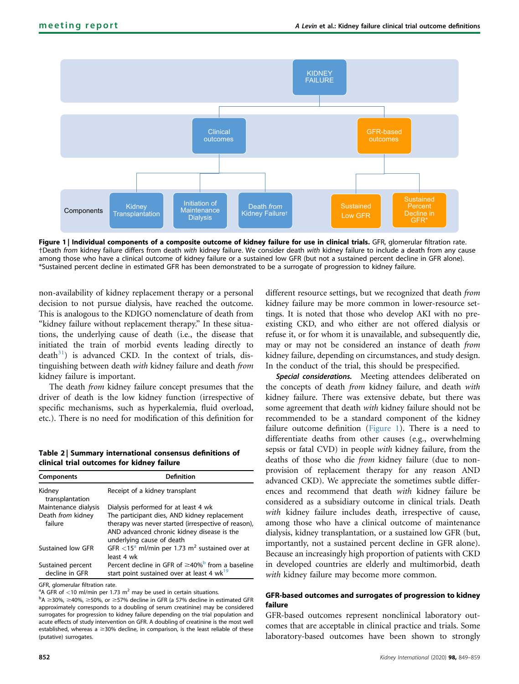<span id="page-3-0"></span>

Figure 1 | Individual components of a composite outcome of kidney failure for use in clinical trials. GFR, glomerular filtration rate. †Death from kidney failure differs from death with kidney failure. We consider death with kidney failure to include a death from any cause among those who have a clinical outcome of kidney failure or a sustained low GFR (but not a sustained percent decline in GFR alone). \*Sustained percent decline in estimated GFR has been demonstrated to be a surrogate of progression to kidney failure.

non-availability of kidney replacement therapy or a personal decision to not pursue dialysis, have reached the outcome. This is analogous to the KDIGO nomenclature of death from "kidney failure without replacement therapy." In these situations, the underlying cause of death (i.e., the disease that initiated the train of morbid events leading directly to  $death^{31}$ ) is advanced CKD. In the context of trials, distinguishing between death with kidney failure and death from kidney failure is important.

The death from kidney failure concept presumes that the driver of death is the low kidney function (irrespective of specific mechanisms, such as hyperkalemia, fluid overload, etc.). There is no need for modification of this definition for

<span id="page-3-1"></span>Table 2 | Summary international consensus definitions of clinical trial outcomes for kidney failure

| Components                          | <b>Definition</b>                                                                                                                                                              |
|-------------------------------------|--------------------------------------------------------------------------------------------------------------------------------------------------------------------------------|
| Kidney<br>transplantation           | Receipt of a kidney transplant                                                                                                                                                 |
| Maintenance dialysis                | Dialysis performed for at least 4 wk                                                                                                                                           |
| Death from kidney<br>failure        | The participant dies, AND kidney replacement<br>therapy was never started (irrespective of reason),<br>AND advanced chronic kidney disease is the<br>underlying cause of death |
| Sustained low GFR                   | GFR $<$ 15 <sup>a</sup> ml/min per 1.73 m <sup>2</sup> sustained over at<br>least 4 wk                                                                                         |
| Sustained percent<br>decline in GFR | Percent decline in GFR of $\geq$ 40% <sup>b</sup> from a baseline<br>start point sustained over at least 4 wk <sup>19</sup>                                                    |

GFR, glomerular filtration rate.

<span id="page-3-2"></span><sup>a</sup>A GFR of <10 ml/min per 1.73 m<sup>2</sup> may be used in certain situations.

<span id="page-3-3"></span> $h_A \geq 30\%$ ,  $\geq 40\%$ ,  $\geq 50\%$ , or  $\geq 57\%$  decline in GFR (a 57% decline in estimated GFR approximately corresponds to a doubling of serum creatinine) may be considered surrogates for progression to kidney failure depending on the trial population and acute effects of study intervention on GFR. A doubling of creatinine is the most well established, whereas a  $\geq$ 30% decline, in comparison, is the least reliable of these (putative) surrogates.

different resource settings, but we recognized that death from kidney failure may be more common in lower-resource settings. It is noted that those who develop AKI with no preexisting CKD, and who either are not offered dialysis or refuse it, or for whom it is unavailable, and subsequently die, may or may not be considered an instance of death from kidney failure, depending on circumstances, and study design. In the conduct of the trial, this should be prespecified.

Special considerations. Meeting attendees deliberated on the concepts of death *from* kidney failure, and death with kidney failure. There was extensive debate, but there was some agreement that death with kidney failure should not be recommended to be a standard component of the kidney failure outcome definition [\(Figure 1](#page-3-0)). There is a need to differentiate deaths from other causes (e.g., overwhelming sepsis or fatal CVD) in people with kidney failure, from the deaths of those who die from kidney failure (due to nonprovision of replacement therapy for any reason AND advanced CKD). We appreciate the sometimes subtle differences and recommend that death with kidney failure be considered as a subsidiary outcome in clinical trials. Death with kidney failure includes death, irrespective of cause, among those who have a clinical outcome of maintenance dialysis, kidney transplantation, or a sustained low GFR (but, importantly, not a sustained percent decline in GFR alone). Because an increasingly high proportion of patients with CKD in developed countries are elderly and multimorbid, death with kidney failure may become more common.

# GFR-based outcomes and surrogates of progression to kidney failure

GFR-based outcomes represent nonclinical laboratory outcomes that are acceptable in clinical practice and trials. Some laboratory-based outcomes have been shown to strongly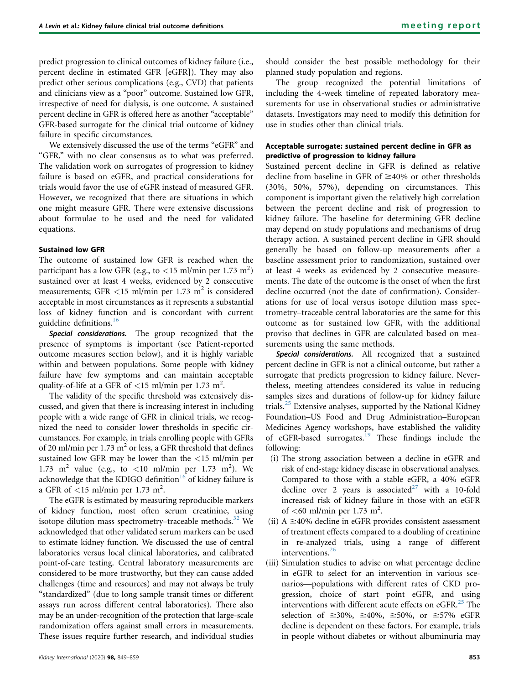predict progression to clinical outcomes of kidney failure (i.e., percent decline in estimated GFR [eGFR]). They may also predict other serious complications (e.g., CVD) that patients and clinicians view as a "poor" outcome. Sustained low GFR, irrespective of need for dialysis, is one outcome. A sustained percent decline in GFR is offered here as another "acceptable" GFR-based surrogate for the clinical trial outcome of kidney failure in specific circumstances.

We extensively discussed the use of the terms "eGFR" and "GFR," with no clear consensus as to what was preferred. The validation work on surrogates of progression to kidney failure is based on eGFR, and practical considerations for trials would favor the use of eGFR instead of measured GFR. However, we recognized that there are situations in which one might measure GFR. There were extensive discussions about formulae to be used and the need for validated equations.

## Sustained low GFR

The outcome of sustained low GFR is reached when the participant has a low GFR (e.g., to  $<$  15 ml/min per 1.73 m<sup>2</sup>) sustained over at least 4 weeks, evidenced by 2 consecutive measurements; GFR  $\langle$ 15 ml/min per 1.73 m<sup>2</sup> is considered acceptable in most circumstances as it represents a substantial loss of kidney function and is concordant with current guideline definitions.<sup>[16](#page-9-10)</sup>

Special considerations. The group recognized that the presence of symptoms is important (see Patient-reported outcome measures section below), and it is highly variable within and between populations. Some people with kidney failure have few symptoms and can maintain acceptable quality-of-life at a GFR of  $\langle 15 \text{ ml/min per } 1.73 \text{ m}^2$ .

The validity of the specific threshold was extensively discussed, and given that there is increasing interest in including people with a wide range of GFR in clinical trials, we recognized the need to consider lower thresholds in specific circumstances. For example, in trials enrolling people with GFRs of 20 ml/min per 1.73  $m<sup>2</sup>$  or less, a GFR threshold that defines sustained low GFR may be lower than the <15 ml/min per 1.73 m<sup>2</sup> value (e.g., to <10 ml/min per 1.73 m<sup>2</sup>). We acknowledge that the KDIGO definition<sup>[16](#page-9-10)</sup> of kidney failure is a GFR of  $\lt 15$  ml/min per 1.73 m<sup>2</sup>.

The eGFR is estimated by measuring reproducible markers of kidney function, most often serum creatinine, using isotope dilution mass spectrometry–traceable methods.<sup>[32](#page-9-25)</sup> We acknowledged that other validated serum markers can be used to estimate kidney function. We discussed the use of central laboratories versus local clinical laboratories, and calibrated point-of-care testing. Central laboratory measurements are considered to be more trustworthy, but they can cause added challenges (time and resources) and may not always be truly "standardized" (due to long sample transit times or different assays run across different central laboratories). There also may be an under-recognition of the protection that large-scale randomization offers against small errors in measurements. These issues require further research, and individual studies should consider the best possible methodology for their planned study population and regions.

The group recognized the potential limitations of including the 4-week timeline of repeated laboratory measurements for use in observational studies or administrative datasets. Investigators may need to modify this definition for use in studies other than clinical trials.

# Acceptable surrogate: sustained percent decline in GFR as predictive of progression to kidney failure

Sustained percent decline in GFR is defined as relative decline from baseline in GFR of  $\geq 40\%$  or other thresholds (30%, 50%, 57%), depending on circumstances. This component is important given the relatively high correlation between the percent decline and risk of progression to kidney failure. The baseline for determining GFR decline may depend on study populations and mechanisms of drug therapy action. A sustained percent decline in GFR should generally be based on follow-up measurements after a baseline assessment prior to randomization, sustained over at least 4 weeks as evidenced by 2 consecutive measurements. The date of the outcome is the onset of when the first decline occurred (not the date of confirmation). Considerations for use of local versus isotope dilution mass spectrometry–traceable central laboratories are the same for this outcome as for sustained low GFR, with the additional proviso that declines in GFR are calculated based on measurements using the same methods.

Special considerations. All recognized that a sustained percent decline in GFR is not a clinical outcome, but rather a surrogate that predicts progression to kidney failure. Nevertheless, meeting attendees considered its value in reducing samples sizes and durations of follow-up for kidney failure trials.<sup>[25](#page-9-19)</sup> Extensive analyses, supported by the National Kidney Foundation–US Food and Drug Administration–European Medicines Agency workshops, have established the validity of eGFR-based surrogates.[19](#page-9-13) These findings include the following:

- (i) The strong association between a decline in eGFR and risk of end-stage kidney disease in observational analyses. Compared to those with a stable eGFR, a 40% eGFR decline over 2 years is associated<sup>[27](#page-9-26)</sup> with a 10-fold increased risk of kidney failure in those with an eGFR of  $<$  60 ml/min per 1.73 m<sup>2</sup>.
- (ii)  $A \geq 40\%$  decline in eGFR provides consistent assessment of treatment effects compared to a doubling of creatinine in re-analyzed trials, using a range of different interventions.<sup>[26](#page-9-27)</sup>
- (iii) Simulation studies to advise on what percentage decline in eGFR to select for an intervention in various scenarios—populations with different rates of CKD progression, choice of start point eGFR, and using interventions with different acute effects on eGFR.<sup>[25](#page-9-19)</sup> The selection of  $\geq 30\%$ ,  $\geq 40\%$ ,  $\geq 50\%$ , or  $\geq 57\%$  eGFR decline is dependent on these factors. For example, trials in people without diabetes or without albuminuria may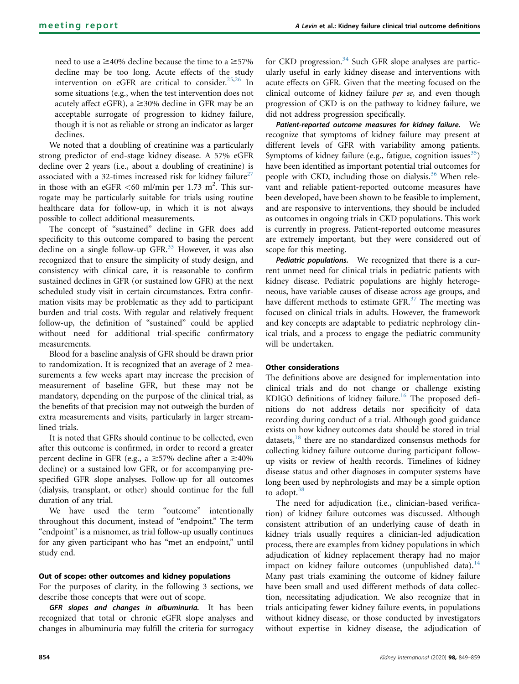need to use a  $\geq$ 40% decline because the time to a  $\geq$ 57% decline may be too long. Acute effects of the study intervention on eGFR are critical to consider. $^{25,26}$  $^{25,26}$  $^{25,26}$  $^{25,26}$  In some situations (e.g., when the test intervention does not acutely affect eGFR), a  $\geq$ 30% decline in GFR may be an acceptable surrogate of progression to kidney failure, though it is not as reliable or strong an indicator as larger declines.

We noted that a doubling of creatinine was a particularly strong predictor of end-stage kidney disease. A 57% eGFR decline over 2 years (i.e., about a doubling of creatinine) is associated with a 32-times increased risk for kidney failure<sup>[27](#page-9-26)</sup> in those with an eGFR  $<$  60 ml/min per 1.73 m<sup>2</sup>. This surrogate may be particularly suitable for trials using routine healthcare data for follow-up, in which it is not always possible to collect additional measurements.

The concept of "sustained" decline in GFR does add specificity to this outcome compared to basing the percent decline on a single follow-up  $GFR$ .<sup>[33](#page-10-0)</sup> However, it was also recognized that to ensure the simplicity of study design, and consistency with clinical care, it is reasonable to confirm sustained declines in GFR (or sustained low GFR) at the next scheduled study visit in certain circumstances. Extra confirmation visits may be problematic as they add to participant burden and trial costs. With regular and relatively frequent follow-up, the definition of "sustained" could be applied without need for additional trial-specific confirmatory measurements.

Blood for a baseline analysis of GFR should be drawn prior to randomization. It is recognized that an average of 2 measurements a few weeks apart may increase the precision of measurement of baseline GFR, but these may not be mandatory, depending on the purpose of the clinical trial, as the benefits of that precision may not outweigh the burden of extra measurements and visits, particularly in larger streamlined trials.

It is noted that GFRs should continue to be collected, even after this outcome is confirmed, in order to record a greater percent decline in GFR (e.g., a  $\geq$ 57% decline after a  $\geq$ 40% decline) or a sustained low GFR, or for accompanying prespecified GFR slope analyses. Follow-up for all outcomes (dialysis, transplant, or other) should continue for the full duration of any trial.

We have used the term "outcome" intentionally throughout this document, instead of "endpoint." The term "endpoint" is a misnomer, as trial follow-up usually continues for any given participant who has "met an endpoint," until study end.

## Out of scope: other outcomes and kidney populations

For the purposes of clarity, in the following 3 sections, we describe those concepts that were out of scope.

GFR slopes and changes in albuminuria. It has been recognized that total or chronic eGFR slope analyses and changes in albuminuria may fulfill the criteria for surrogacy for CKD progression.<sup>[34](#page-10-1)</sup> Such GFR slope analyses are particularly useful in early kidney disease and interventions with acute effects on GFR. Given that the meeting focused on the clinical outcome of kidney failure per se, and even though progression of CKD is on the pathway to kidney failure, we did not address progression specifically.

Patient-reported outcome measures for kidney failure. We recognize that symptoms of kidney failure may present at different levels of GFR with variability among patients. Symptoms of kidney failure (e.g., fatigue, cognition issues $^{35}$ ) have been identified as important potential trial outcomes for people with CKD, including those on dialysis.<sup>[36](#page-10-3)</sup> When relevant and reliable patient-reported outcome measures have been developed, have been shown to be feasible to implement, and are responsive to interventions, they should be included as outcomes in ongoing trials in CKD populations. This work is currently in progress. Patient-reported outcome measures are extremely important, but they were considered out of scope for this meeting.

Pediatric populations. We recognized that there is a current unmet need for clinical trials in pediatric patients with kidney disease. Pediatric populations are highly heterogeneous, have variable causes of disease across age groups, and have different methods to estimate GFR.<sup>[37](#page-10-4)</sup> The meeting was focused on clinical trials in adults. However, the framework and key concepts are adaptable to pediatric nephrology clinical trials, and a process to engage the pediatric community will be undertaken.

## Other considerations

The definitions above are designed for implementation into clinical trials and do not change or challenge existing KDIGO definitions of kidney failure.<sup>16</sup> The proposed definitions do not address details nor specificity of data recording during conduct of a trial. Although good guidance exists on how kidney outcomes data should be stored in trial datasets,<sup>[18](#page-9-12)</sup> there are no standardized consensus methods for collecting kidney failure outcome during participant followup visits or review of health records. Timelines of kidney disease status and other diagnoses in computer systems have long been used by nephrologists and may be a simple option to adopt. $38$ 

The need for adjudication (i.e., clinician-based verification) of kidney failure outcomes was discussed. Although consistent attribution of an underlying cause of death in kidney trials usually requires a clinician-led adjudication process, there are examples from kidney populations in which adjudication of kidney replacement therapy had no major impact on kidney failure outcomes (unpublished data). $14$ Many past trials examining the outcome of kidney failure have been small and used different methods of data collection, necessitating adjudication. We also recognize that in trials anticipating fewer kidney failure events, in populations without kidney disease, or those conducted by investigators without expertise in kidney disease, the adjudication of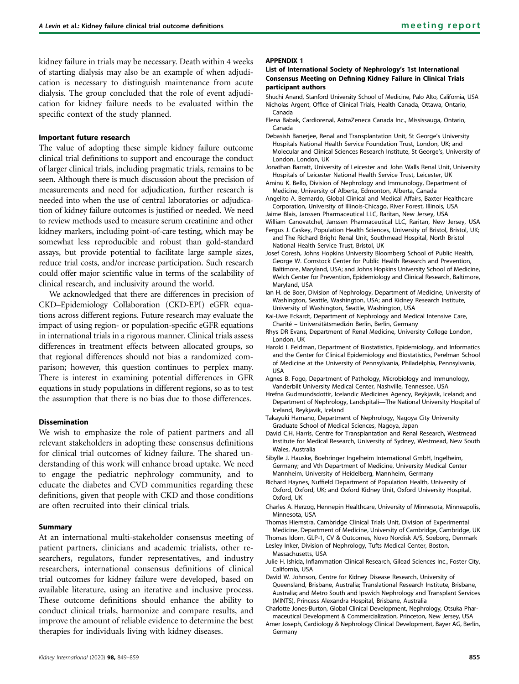kidney failure in trials may be necessary. Death within 4 weeks of starting dialysis may also be an example of when adjudication is necessary to distinguish maintenance from acute dialysis. The group concluded that the role of event adjudication for kidney failure needs to be evaluated within the specific context of the study planned.

## Important future research

The value of adopting these simple kidney failure outcome clinical trial definitions to support and encourage the conduct of larger clinical trials, including pragmatic trials, remains to be seen. Although there is much discussion about the precision of measurements and need for adjudication, further research is needed into when the use of central laboratories or adjudication of kidney failure outcomes is justified or needed. We need to review methods used to measure serum creatinine and other kidney markers, including point-of-care testing, which may be somewhat less reproducible and robust than gold-standard assays, but provide potential to facilitate large sample sizes, reduce trial costs, and/or increase participation. Such research could offer major scientific value in terms of the scalability of clinical research, and inclusivity around the world.

We acknowledged that there are differences in precision of CKD–Epidemiology Collaboration (CKD-EPI) eGFR equations across different regions. Future research may evaluate the impact of using region- or population-specific eGFR equations in international trials in a rigorous manner. Clinical trials assess differences in treatment effects between allocated groups, so that regional differences should not bias a randomized comparison; however, this question continues to perplex many. There is interest in examining potential differences in GFR equations in study populations in different regions, so as to test the assumption that there is no bias due to those differences.

## Dissemination

We wish to emphasize the role of patient partners and all relevant stakeholders in adopting these consensus definitions for clinical trial outcomes of kidney failure. The shared understanding of this work will enhance broad uptake. We need to engage the pediatric nephrology community, and to educate the diabetes and CVD communities regarding these definitions, given that people with CKD and those conditions are often recruited into their clinical trials.

#### Summary

At an international multi-stakeholder consensus meeting of patient partners, clinicians and academic trialists, other researchers, regulators, funder representatives, and industry researchers, international consensus definitions of clinical trial outcomes for kidney failure were developed, based on available literature, using an iterative and inclusive process. These outcome definitions should enhance the ability to conduct clinical trials, harmonize and compare results, and improve the amount of reliable evidence to determine the best therapies for individuals living with kidney diseases.

#### <span id="page-6-0"></span>APPENDIX 1

#### List of International Society of Nephrology's 1st International Consensus Meeting on Defining Kidney Failure in Clinical Trials participant authors

Shuchi Anand, Stanford University School of Medicine, Palo Alto, California, USA Nicholas Argent, Office of Clinical Trials, Health Canada, Ottawa, Ontario, Canada

- Elena Babak, Cardiorenal, AstraZeneca Canada Inc., Mississauga, Ontario, Canada
- Debasish Banerjee, Renal and Transplantation Unit, St George's University Hospitals National Health Service Foundation Trust, London, UK; and Molecular and Clinical Sciences Research Institute, St George's, University of London, London, UK
- Jonathan Barratt, University of Leicester and John Walls Renal Unit, University Hospitals of Leicester National Health Service Trust, Leicester, UK
- Aminu K. Bello, Division of Nephrology and Immunology, Department of Medicine, University of Alberta, Edmonton, Alberta, Canada
- Angelito A. Bernardo, Global Clinical and Medical Affairs, Baxter Healthcare Corporation, University of Illinois-Chicago, River Forest, Illinois, USA
- Jaime Blais, Janssen Pharmaceutical LLC, Raritan, New Jersey, USA William Canovatchel, Janssen Pharmaceutical LLC, Raritan, New Jersey, USA
- Fergus J. Caskey, Population Health Sciences, University of Bristol, Bristol, UK; and The Richard Bright Renal Unit, Southmead Hospital, North Bristol National Health Service Trust, Bristol, UK
- Josef Coresh, Johns Hopkins University Bloomberg School of Public Health, George W. Comstock Center for Public Health Research and Prevention, Baltimore, Maryland, USA; and Johns Hopkins University School of Medicine, Welch Center for Prevention, Epidemiology and Clinical Research, Baltimore, Maryland, USA
- Ian H. de Boer, Division of Nephrology, Department of Medicine, University of Washington, Seattle, Washington, USA; and Kidney Research Institute, University of Washington, Seattle, Washington, USA
- Kai-Uwe Eckardt, Department of Nephrology and Medical Intensive Care, Charité – Universitätsmedizin Berlin, Berlin, Germany
- Rhys DR Evans, Department of Renal Medicine, University College London, London, UK
- Harold I. Feldman, Department of Biostatistics, Epidemiology, and Informatics and the Center for Clinical Epidemiology and Biostatistics, Perelman School of Medicine at the University of Pennsylvania, Philadelphia, Pennsylvania, USA
- Agnes B. Fogo, Department of Pathology, Microbiology and Immunology, Vanderbilt University Medical Center, Nashville, Tennessee, USA
- Hrefna Gudmundsdottir, Icelandic Medicines Agency, Reykjavik, Iceland; and Department of Nephrology, Landspitali—The National University Hospital of Iceland, Reykjavik, Iceland
- Takayuki Hamano, Department of Nephrology, Nagoya City University Graduate School of Medical Sciences, Nagoya, Japan
- David C.H. Harris, Centre for Transplantation and Renal Research, Westmead Institute for Medical Research, University of Sydney, Westmead, New South Wales, Australia
- Sibylle J. Hauske, Boehringer Ingelheim International GmbH, Ingelheim, Germany; and Vth Department of Medicine, University Medical Center Mannheim, University of Heidelberg, Mannheim, Germany
- Richard Haynes, Nuffield Department of Population Health, University of Oxford, Oxford, UK; and Oxford Kidney Unit, Oxford University Hospital, Oxford, UK
- Charles A. Herzog, Hennepin Healthcare, University of Minnesota, Minneapolis, Minnesota, USA
- Thomas Hiemstra, Cambridge Clinical Trials Unit, Division of Experimental Medicine, Department of Medicine, University of Cambridge, Cambridge, UK
- Thomas Idorn, GLP-1, CV & Outcomes, Novo Nordisk A/S, Soeborg, Denmark Lesley Inker, Division of Nephrology, Tufts Medical Center, Boston, Massachusetts, USA
- Julie H. Ishida, Inflammation Clinical Research, Gilead Sciences Inc., Foster City, California, USA
- David W. Johnson, Centre for Kidney Disease Research, University of Queensland, Brisbane, Australia; Translational Research Institute, Brisbane, Australia; and Metro South and Ipswich Nephrology and Transplant Services (MINTS), Princess Alexandra Hospital, Brisbane, Australia
- Charlotte Jones-Burton, Global Clinical Development, Nephrology, Otsuka Pharmaceutical Development & Commercialization, Princeton, New Jersey, USA
- Amer Joseph, Cardiology & Nephrology Clinical Development, Bayer AG, Berlin, Germany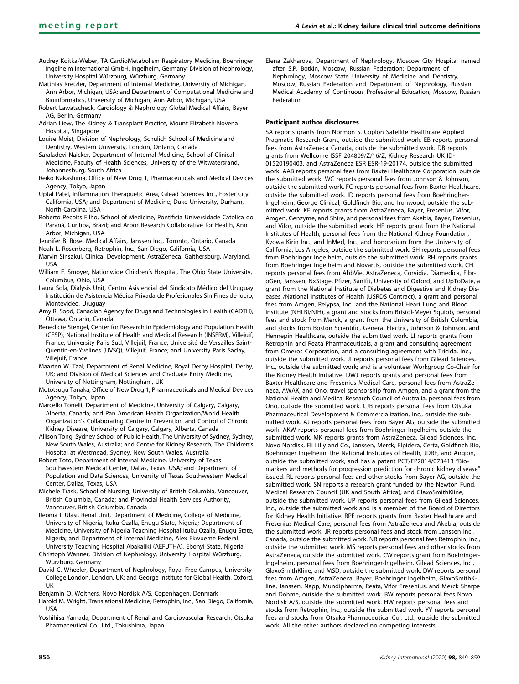- Audrey Koitka-Weber, TA CardioMetabolism Respiratory Medicine, Boehringer Ingelheim International GmbH, Ingelheim, Germany; Division of Nephrology, University Hospital Würzburg, Würzburg, Germany
- Matthias Kretzler, Department of Internal Medicine, University of Michigan, Ann Arbor, Michigan, USA; and Department of Computational Medicine and Bioinformatics, University of Michigan, Ann Arbor, Michigan, USA
- Robert Lawatscheck, Cardiology & Nephrology Global Medical Affairs, Bayer AG, Berlin, Germany
- Adrian Liew, The Kidney & Transplant Practice, Mount Elizabeth Novena Hospital, Singapore
- Louise Moist, Division of Nephrology, Schulich School of Medicine and Dentistry, Western University, London, Ontario, Canada
- Saraladevi Naicker, Department of Internal Medicine, School of Clinical Medicine, Faculty of Health Sciences, University of the Witwatersrand, Johannesburg, South Africa
- Reiko Nakashima, Office of New Drug 1, Pharmaceuticals and Medical Devices Agency, Tokyo, Japan
- Uptal Patel, Inflammation Therapuetic Area, Gilead Sciences Inc., Foster City, California, USA; and Department of Medicine, Duke University, Durham, North Carolina, USA
- Roberto Pecoits Filho, School of Medicine, Pontificia Universidade Catolica do Paraná, Curitiba, Brazil; and Arbor Research Collaborative for Health, Ann Arbor, Michigan, USA
- Jennifer B. Rose, Medical Affairs, Janssen Inc., Toronto, Ontario, Canada
- Noah L. Rosenberg, Retrophin, Inc., San Diego, California, USA
- Marvin Sinsakul, Clinical Development, AstraZeneca, Gaithersburg, Maryland, USA
- William E. Smoyer, Nationwide Children's Hospital, The Ohio State University, Columbus, Ohio, USA
- Laura Sola, Dialysis Unit, Centro Asistencial del Sindicato Médico del Uruguay Institución de Asistencia Médica Privada de Profesionales Sin Fines de lucro, Montevideo, Uruguay
- Amy R. Sood, Canadian Agency for Drugs and Technologies in Health (CADTH), Ottawa, Ontario, Canada
- Benedicte Stengel, Center for Research in Epidemiology and Population Health (CESP), National Institute of Health and Medical Research (INSERM), Villejuif, France; University Paris Sud, Villejuif, France; Université de Versailles Saint-Quentin-en-Yvelines (UVSQ), Villejuif, France; and University Paris Saclay, Villejuif, France
- Maarten W. Taal, Department of Renal Medicine, Royal Derby Hospital, Derby, UK; and Division of Medical Sciences and Graduate Entry Medicine, University of Nottingham, Nottingham, UK
- Mototsugu Tanaka, Office of New Drug 1, Pharmaceuticals and Medical Devices Agency, Tokyo, Japan
- Marcello Tonelli, Department of Medicine, University of Calgary, Calgary, Alberta, Canada; and Pan American Health Organization/World Health Organization's Collaborating Centre in Prevention and Control of Chronic Kidney Disease, University of Calgary, Calgary, Alberta, Canada
- Allison Tong, Sydney School of Public Health, The University of Sydney, Sydney, New South Wales, Australia; and Centre for Kidney Research, The Children's Hospital at Westmead, Sydney, New South Wales, Australia
- Robert Toto, Department of Internal Medicine, University of Texas Southwestern Medical Center, Dallas, Texas, USA; and Department of Population and Data Sciences, University of Texas Southwestern Medical Center, Dallas, Texas, USA
- Michele Trask, School of Nursing, University of British Columbia, Vancouver, British Columbia, Canada; and Provincial Health Services Authority, Vancouver, British Columbia, Canada
- Ifeoma I. Ulasi, Renal Unit, Department of Medicine, College of Medicine, University of Nigeria, Ituku Ozalla, Enugu State, Nigeria; Department of Medicine, University of Nigeria Teaching Hospital Ituku Ozalla, Enugu State, Nigeria; and Department of Internal Medicine, Alex Ekwueme Federal University Teaching Hospital Abakaliki (AEFUTHA), Ebonyi State, Nigeria
- Christoph Wanner, Division of Nephrology, University Hospital Würzburg, Würzburg, Germany
- David C. Wheeler, Department of Nephrology, Royal Free Campus, University College London, London, UK; and George Institute for Global Health, Oxford, UK
- Benjamin O. Wolthers, Novo Nordisk A/S, Copenhagen, Denmark
- Harold M. Wright, Translational Medicine, Retrophin, Inc., San Diego, California, USA
- Yoshihisa Yamada, Department of Renal and Cardiovascular Research, Otsuka Pharmaceutical Co., Ltd., Tokushima, Japan

Elena Zakharova, Department of Nephrology, Moscow City Hospital named after S.P. Botkin, Moscow, Russian Federation; Department of Nephrology, Moscow State University of Medicine and Dentistry, Moscow, Russian Federation and Department of Nephrology, Russian Medical Academy of Continuous Professional Education, Moscow, Russian Federation

#### Participant author disclosures

SA reports grants from Normon S. Coplon Satellite Healthcare Applied Pragmatic Research Grant, outside the submitted work. EB reports personal fees from AstraZeneca Canada, outside the submitted work. DB reports grants from Wellcome ISSF 204809/Z/16/Z, Kidney Research UK ID-01520190403, and AstraZeneca ESR ESR-19-20174, outside the submitted work. AAB reports personal fees from Baxter Healthcare Corporation, outside the submitted work. WC reports personal fees from Johnson & Johnson, outside the submitted work. FC reports personal fees from Baxter Healthcare, outside the submitted work. ID reports personal fees from Boehringher-Ingelheim, George Clinical, Goldfinch Bio, and Ironwood, outside the submitted work. KE reports grants from AstraZeneca, Bayer, Fresenius, Vifor, Amgen, Genzyme, and Shire, and personal fees from Akebia, Bayer, Fresenius, and Vifor, outside the submitted work. HF reports grant from the National Institutes of Health, personal fees from the National Kidney Foundation, Kyowa Kirin Inc., and InMed, Inc., and honorarium from the University of California, Los Angeles, outside the submitted work. SH reports personal fees from Boehringer Ingelheim, outside the submitted work. RH reports grants from Boehringer Ingelheim and Novartis, outside the submitted work. CH reports personal fees from AbbVie, AstraZeneca, Corvidia, Diamedica, FibroGen, Janssen, NxStage, Pfizer, Sanifit, University of Oxford, and UpToDate, a grant from the National Institute of Diabetes and Digestive and Kidney Diseases /National Institutes of Health (USRDS Contract), a grant and personal fees from Amgen, Relypsa, Inc., and the National Heart Lung and Blood Institute (NHLBI/NIH), a grant and stocks from Bristol-Meyer Squibb, personal fees and stock from Merck, a grant from the University of British Columbia, and stocks from Boston Scientific, General Electric, Johnson & Johnson, and Hennepin Healthcare, outside the submitted work. LI reports grants from Retrophin and Reata Pharmaceuticals, a grant and consulting agreement from Omeros Corporation, and a consulting agreement with Tricida, Inc., outside the submitted work. JI reports personal fees from Gilead Sciences, Inc., outside the submitted work; and is a volunteer Workgroup Co-Chair for the Kidney Health Initiative. DWJ reports grants and personal fees from Baxter Healthcare and Fresenius Medical Care, personal fees from AstraZeneca, AWAK, and Ono, travel sponsorship from Amgen, and a grant from the National Health and Medical Research Council of Australia, personal fees from Ono, outside the submitted work. CJB reports personal fees from Otsuka Pharmaceutical Development & Commercialization, Inc., outside the submitted work. AJ reports personal fees from Bayer AG, outside the submitted work. AKW reports personal fees from Boehringer Ingelheim, outside the submitted work. MK reports grants from AstraZeneca, Gilead Sciences, Inc., Novo Nordisk, Eli Lilly and Co., Janssen, Merck, Elpidera, Certa, Goldfinch Bio, Boehringer Ingelheim, the National Institutes of Health, JDRF, and Angion, outside the submitted work, and has a patent PCT/EP2014/073413 "Biomarkers and methods for progression prediction for chronic kidney disease" issued. RL reports personal fees and other stocks from Bayer AG, outside the submitted work. SN reports a research grant funded by the Newton Fund, Medical Research Council (UK and South Africa), and GlaxoSmithKline, outside the submitted work. UP reports personal fees from Gilead Sciences, Inc., outside the submitted work and is a member of the Board of Directors for Kidney Health Initiative. RPF reports grants from Baxter Healthcare and Fresenius Medical Care, personal fees from AstraZeneca and Akebia, outside the submitted work. JR reports personal fees and stock from Janssen Inc., Canada, outside the submitted work. NR reports personal fees Retrophin, Inc., outside the submitted work. MS reports personal fees and other stocks from AstraZeneca, outside the submitted work. CW reports grant from Boehringer-Ingelheim, personal fees from Boehringer-Ingelheim, Gilead Sciences, Inc., GlaxoSmithKline, and MSD, outside the submitted work. DW reports personal fees from Amgen, AstraZeneca, Bayer, Boehringer Ingelheim, GlaxoSmithKline, Janssen, Napp, Mundipharma, Reata, Vifor Fresenius, and Merck Sharpe and Dohme, outside the submitted work. BW reports personal fees Novo Nordisk A/S, outside the submitted work. HW reports personal fees and stocks from Retrophin, Inc., outside the submitted work. YY reports personal fees and stocks from Otsuka Pharmaceutical Co., Ltd., outside the submitted work. All the other authors declared no competing interests.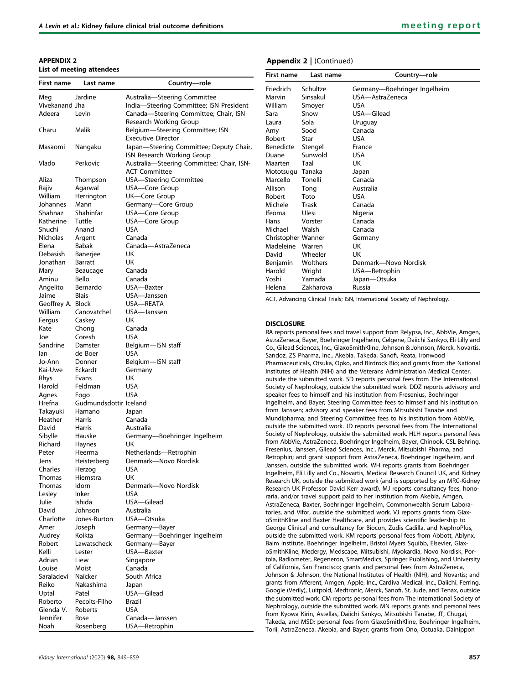<span id="page-8-0"></span>

| <b>APPENDIX 2</b> |  |  |                           |  |
|-------------------|--|--|---------------------------|--|
|                   |  |  | List of meeting attendees |  |

| First name                   | Last name              | Country—role                              |
|------------------------------|------------------------|-------------------------------------------|
| Meg                          | Jardine                | Australia-Steering Committee              |
| Vivekanand Jha               |                        | India-Steering Committee; ISN President   |
| Adeera                       | Levin                  | Canada-Steering Committee; Chair, ISN     |
|                              |                        | Research Working Group                    |
| Charu                        | Malik                  | Belgium-Steering Committee; ISN           |
|                              |                        | <b>Executive Director</b>                 |
| Masaomi                      | Nangaku                | Japan-Steering Committee; Deputy Chair,   |
|                              |                        | ISN Research Working Group                |
| Vlado                        | Perkovic               | Australia-Steering Committee; Chair, ISN- |
| Aliza                        |                        | <b>ACT Committee</b>                      |
| Rajiv                        | Thompson<br>Agarwal    | USA-Steering Committee<br>USA-Core Group  |
| William                      | Herrington             | UK-Core Group                             |
| Johannes                     | Mann                   | Germany-Core Group                        |
| Shahnaz                      | Shahinfar              | USA-Core Group                            |
| Katherine                    | Tuttle                 | USA-Core Group                            |
| Shuchi                       | Anand                  | USA                                       |
| Nicholas                     | Argent                 | Canada                                    |
| Elena                        | Babak                  | Canada—AstraZeneca                        |
| Debasish                     | Banerjee               | UK                                        |
| Jonathan                     | <b>Barratt</b>         | UK                                        |
| Mary                         | Beaucage               | Canada                                    |
| Aminu                        | Bello                  | Canada                                    |
| Angelito                     | Bernardo               | USA-Baxter                                |
| Jaime                        | <b>Blais</b>           | USA-Janssen                               |
| Geoffrey A. Block<br>William | Canovatchel            | USA-REATA<br>USA-Janssen                  |
| Fergus                       | Caskey                 | UK                                        |
| Kate                         | Chong                  | Canada                                    |
| Joe                          | Coresh                 | USA                                       |
| Sandrine                     | Damster                | Belgium-ISN staff                         |
| lan                          | de Boer                | USA                                       |
| Jo-Ann                       | Donner                 | Belgium—ISN staff                         |
| Kai-Uwe                      | Eckardt                | Germany                                   |
| Rhys                         | Evans                  | UK                                        |
| Harold                       | Feldman                | USA                                       |
| Agnes                        | Fogo                   | <b>USA</b>                                |
| Hrefna                       | Gudmundsdottir Iceland |                                           |
| Takayuki<br>Heather          | Hamano                 | Japan<br>Canada                           |
| David                        | Harris<br>Harris       | Australia                                 |
| Sibylle                      | Hauske                 | Germany-Boehringer Ingelheim              |
| Richard                      | Haynes                 | UK                                        |
| Peter                        | Heerma                 | Netherlands-Retrophin                     |
| Jens                         | Heisterberg            | Denmark-Novo Nordisk                      |
| Charles                      | Herzog                 | USA                                       |
| Thomas                       | Hiemstra               | UK                                        |
| Thomas                       | Idorn                  | Denmark-Novo Nordisk                      |
| Lesley                       | Inker                  | <b>USA</b>                                |
| Julie                        | Ishida                 | USA-Gilead                                |
| David                        | Johnson                | Australia                                 |
| Charlotte                    | Jones-Burton           | USA-Otsuka                                |
| Amer                         | Joseph                 | Germany-Bayer                             |
| Audrey                       | Koikta                 | Germany-Boehringer Ingelheim              |
| Robert<br>Kelli              | Lawatscheck<br>Lester  | Germany-Bayer<br>USA-Baxter               |
| Adrian                       | Liew                   | Singapore                                 |
| Louise                       | Moist                  | Canada                                    |
| Saraladevi                   | Naicker                | South Africa                              |
| Reiko                        | Nakashima              | Japan                                     |
| Uptal                        | Patel                  | USA-Gilead                                |
| Roberto                      | Pecoits-Filho          | Brazil                                    |
| Glenda V.                    | Roberts                | <b>USA</b>                                |
| Jennifer                     | Rose                   | Canada-Janssen                            |
| Noah                         | Rosenberg              | USA-Retrophin                             |

#### Appendix 2 | (Continued)

| First name         | Last name | Country—role                 |
|--------------------|-----------|------------------------------|
| Friedrich          | Schultze  | Germany-Boehringer Ingelheim |
| Marvin             | Sinsakul  | USA-AstraZeneca              |
| William            | Smoyer    | USA                          |
| Sara               | Snow      | USA-Gilead                   |
| Laura              | Sola      | Uruguay                      |
| Amy                | Sood      | Canada                       |
| Robert             | Star      | USA                          |
| Benedicte          | Stengel   | France                       |
| Duane              | Sunwold   | USA                          |
| Maarten            | Taal      | UK                           |
| Mototsugu          | Tanaka    | Japan                        |
| Marcello           | Tonelli   | Canada                       |
| Allison            | Tong      | Australia                    |
| Robert             | Toto      | USA                          |
| Michele            | Trask     | Canada                       |
| lfeoma             | Ulesi     | Nigeria                      |
| Hans               | Vorster   | Canada                       |
| Michael            | Walsh     | Canada                       |
| Christopher Wanner |           | Germany                      |
| Madeleine          | Warren    | UK                           |
| David              | Wheeler   | UK                           |
| Benjamin           | Wolthers  | Denmark-Novo Nordisk         |
| Harold             | Wright    | USA-Retrophin                |
| Yoshi              | Yamada    | Japan—Otsuka                 |
| Helena             | Zakharova | Russia                       |

ACT, Advancing Clinical Trials; ISN, International Society of Nephrology.

#### DISCLOSURE

RA reports personal fees and travel support from Relypsa, Inc., AbbVie, Amgen, AstraZeneca, Bayer, Boehringer Ingelheim, Celgene, Daiichi Sankyo, Eli Lilly and Co., Gilead Sciences, Inc., GlaxoSmithKline, Johnson & Johnson, Merck, Novartis, Sandoz, ZS Pharma, Inc., Akebia, Takeda, Sanofi, Reata, Ironwood Pharmaceuticals, Otsuka, Opko, and Birdrock Bio; and grants from the National Institutes of Health (NIH) and the Veterans Administration Medical Center, outside the submitted work. SD reports personal fees from The International Society of Nephrology, outside the submitted work. DDZ reports advisory and speaker fees to himself and his institution from Fresenius, Boehringer Ingelheim, and Bayer; Steering Committee fees to himself and his institution from Janssen; advisory and speaker fees from Mitsubishi Tanabe and Mundipharma; and Steering Committee fees to his institution from AbbVie, outside the submitted work. JD reports personal fees from The International Society of Nephrology, outside the submitted work. HLH reports personal fees from AbbVie, AstraZeneca, Boehringer Ingelheim, Bayer, Chinook, CSL Behring, Fresenius, Janssen, Gilead Sciences, Inc., Merck, Mitsubishi Pharma, and Retrophin; and grant support from AstraZeneca, Boehringer Ingelheim, and Janssen, outside the submitted work. WH reports grants from Boehringer Ingelheim, Eli Lilly and Co., Novartis, Medical Research Council UK, and Kidney Research UK, outside the submitted work (and is supported by an MRC-Kidney Research UK Professor David Kerr award). MJ reports consultancy fees, honoraria, and/or travel support paid to her institution from Akebia, Amgen, AstraZeneca, Baxter, Boehringer Ingelheim, Commonwealth Serum Laboratories, and Vifor, outside the submitted work. VJ reports grants from GlaxoSmithKline and Baxter Healthcare, and provides scientific leadership to George Clinical and consultancy for Biocon, Zudis Cadilla, and NephroPlus, outside the submitted work. KM reports personal fees from Abbott, Ablynx, Baim Institute, Boehringer Ingelheim, Bristol Myers Squibb, Elsevier, GlaxoSmithKline, Medergy, Medscape, Mitsubishi, Myokardia, Novo Nordisk, Portola, Radiometer, Regeneron, SmartMedics, Springer Publishing, and University of California, San Francisco; grants and personal fees from AstraZeneca, Johnson & Johnson, the National Institutes of Health (NIH), and Novartis; and grants from Afferent, Amgen, Apple, Inc., Cardiva Medical, Inc., Daiichi, Ferring, Google (Verily), Luitpold, Medtronic, Merck, Sanofi, St. Jude, and Tenax, outside the submitted work. CM reports personal fees from The International Society of Nephrology, outside the submitted work. MN reports grants and personal fees from Kyowa Kirin, Astellas, Daiichi Sankyo, Mitsubishi Tanabe, JT, Chugai, Takeda, and MSD; personal fees from GlaxoSmithKline, Boehringer Ingelheim, Torii, AstraZeneca, Akebia, and Bayer; grants from Ono, Ostuaka, Dainippon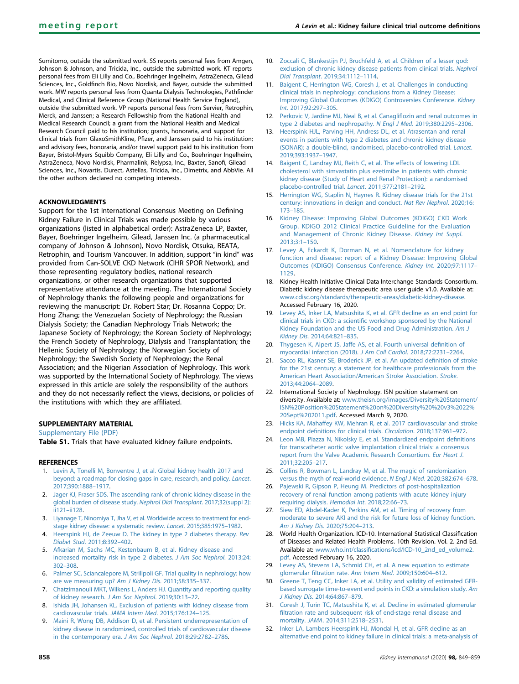Sumitomo, outside the submitted work. SS reports personal fees from Amgen, Johnson & Johnson, and Tricida, Inc., outside the submitted work. KT reports personal fees from Eli Lilly and Co., Boehringer Ingelheim, AstraZeneca, Gilead Sciences, Inc., Goldfinch Bio, Novo Nordisk, and Bayer, outside the submitted work. MW reports personal fees from Quanta Dialysis Technologies, Pathfinder Medical, and Clinical Reference Group (National Health Service England), outside the submitted work. VP reports personal fees from Servier, Retrophin, Merck, and Janssen; a Research Fellowship from the National Health and Medical Research Council; a grant from the National Health and Medical Research Council paid to his institution; grants, honoraria, and support for clinical trials from GlaxoSmithKline, Pfizer, and Janssen paid to his institution; and advisory fees, honoraria, and/or travel support paid to his institution from Bayer, Bristol-Myers Squibb Company, Eli Lilly and Co., Boehringer Ingelheim, AstraZeneca, Novo Nordisk, Pharmalink, Relypsa, Inc., Baxter, Sanofi, Gilead Sciences, Inc., Novartis, Durect, Astellas, Tricida, Inc., Dimetrix, and AbbVie. All the other authors declared no competing interests.

#### <span id="page-9-23"></span>ACKNOWLEDGMENTS

Support for the 1st International Consensus Meeting on Defining Kidney Failure in Clinical Trials was made possible by various organizations (listed in alphabetical order): AstraZeneca LP, Baxter, Bayer, Boehringer Ingelheim, Gilead, Janssen Inc. (a pharmaceutical company of Johnson & Johnson), Novo Nordisk, Otsuka, REATA, Retrophin, and Tourism Vancouver. In addition, support "in kind" was provided from Can-SOLVE CKD Network (CIHR SPOR Network), and those representing regulatory bodies, national research organizations, or other research organizations that supported representative attendance at the meeting. The International Society of Nephrology thanks the following people and organizations for reviewing the manuscript: Dr. Robert Star; Dr. Rosanna Coppo; Dr. Hong Zhang; the Venezuelan Society of Nephrology; the Russian Dialysis Society; the Canadian Nephrology Trials Network; the Japanese Society of Nephrology; the Korean Society of Nephrology; the French Society of Nephrology, Dialysis and Transplantation; the Hellenic Society of Nephrology; the Norwegian Society of Nephrology; the Swedish Society of Nephrology; the Renal Association; and the Nigerian Association of Nephrology. This work was supported by the International Society of Nephrology. The views expressed in this article are solely the responsibility of the authors and they do not necessarily reflect the views, decisions, or policies of the institutions with which they are affiliated.

#### SUPPLEMENTARY MATERIAL

## [Supplementary File \(PDF\)](https://doi.org/10.1016/j.kint.2020.07.013)

Table S1. Trials that have evaluated kidney failure endpoints.

#### **REFERENCES**

- <span id="page-9-0"></span>1. [Levin A, Tonelli M, Bonventre J, et al. Global kidney health 2017 and](http://refhub.elsevier.com/S0085-2538(20)30905-4/sref1) [beyond: a roadmap for closing gaps in care, research, and policy.](http://refhub.elsevier.com/S0085-2538(20)30905-4/sref1) Lancet. [2017;390:1888](http://refhub.elsevier.com/S0085-2538(20)30905-4/sref1)–1917.
- <span id="page-9-1"></span>2. [Jager KJ, Fraser SDS. The ascending rank of chronic kidney disease in the](http://refhub.elsevier.com/S0085-2538(20)30905-4/sref2) [global burden of disease study.](http://refhub.elsevier.com/S0085-2538(20)30905-4/sref2) Nephrol Dial Transplant. 2017;32(suppl 2): ii121–[ii128.](http://refhub.elsevier.com/S0085-2538(20)30905-4/sref2)
- <span id="page-9-2"></span>3. [Liyanage T, Ninomiya T, Jha V, et al. Worldwide access to treatment for end](http://refhub.elsevier.com/S0085-2538(20)30905-4/sref3)[stage kidney disease: a systematic review.](http://refhub.elsevier.com/S0085-2538(20)30905-4/sref3) Lancet. 2015;385:1975-1982.
- <span id="page-9-3"></span>4. [Heerspink HJ, de Zeeuw D. The kidney in type 2 diabetes therapy.](http://refhub.elsevier.com/S0085-2538(20)30905-4/sref4) Rev Diabet Stud[. 2011;8:392](http://refhub.elsevier.com/S0085-2538(20)30905-4/sref4)–402.
- <span id="page-9-4"></span>5. [Afkarian M, Sachs MC, Kestenbaum B, et al. Kidney disease and](http://refhub.elsevier.com/S0085-2538(20)30905-4/sref5) [increased mortality risk in type 2 diabetes.](http://refhub.elsevier.com/S0085-2538(20)30905-4/sref5) J Am Soc Nephrol. 2013;24: 302–[308.](http://refhub.elsevier.com/S0085-2538(20)30905-4/sref5)
- <span id="page-9-5"></span>6. [Palmer SC, Sciancalepore M, Strillpoli GF. Trial quality in nephrology: how](http://refhub.elsevier.com/S0085-2538(20)30905-4/sref6) [are we measuring up?](http://refhub.elsevier.com/S0085-2538(20)30905-4/sref6) Am J Kidney Dis. 2011;58:335–337.
- <span id="page-9-6"></span>7. [Chatzimanouli MKT, Wilkens L, Anders HJ. Quantity and reporting quality](http://refhub.elsevier.com/S0085-2538(20)30905-4/sref7) [of kidney research.](http://refhub.elsevier.com/S0085-2538(20)30905-4/sref7) J Am Soc Nephrol. 2019;30:13–22.
- <span id="page-9-7"></span>8. [Ishida JH, Johansen KL. Exclusion of patients with kidney disease from](http://refhub.elsevier.com/S0085-2538(20)30905-4/sref8) [cardiovascular trials.](http://refhub.elsevier.com/S0085-2538(20)30905-4/sref8) JAMA Intern Med. 2015;176:124–125.
- 9. [Maini R, Wong DB, Addison D, et al. Persistent underrepresentation of](http://refhub.elsevier.com/S0085-2538(20)30905-4/sref9) [kidney disease in randomized, controlled trials of cardiovascular disease](http://refhub.elsevier.com/S0085-2538(20)30905-4/sref9) [in the contemporary era.](http://refhub.elsevier.com/S0085-2538(20)30905-4/sref9) J Am Soc Nephrol. 2018;29:2782–2786.
- 10. [Zoccali C, Blankestijn PJ, Bruchfeld A, et al. Children of a lesser god:](http://refhub.elsevier.com/S0085-2538(20)30905-4/sref10) [exclusion of chronic kidney disease patients from clinical trials.](http://refhub.elsevier.com/S0085-2538(20)30905-4/sref10) Nephrol [Dial Transplant](http://refhub.elsevier.com/S0085-2538(20)30905-4/sref10). 2019;34:1112–1114.
- <span id="page-9-8"></span>11. [Baigent C, Herrington WG, Coresh J, et al. Challenges in conducting](http://refhub.elsevier.com/S0085-2538(20)30905-4/sref11) [clinical trials in nephrology: conclusions from a Kidney Disease:](http://refhub.elsevier.com/S0085-2538(20)30905-4/sref11) [Improving Global Outcomes \(KDIGO\) Controversies Conference.](http://refhub.elsevier.com/S0085-2538(20)30905-4/sref11) Kidney Int[. 2017;92:297](http://refhub.elsevier.com/S0085-2538(20)30905-4/sref11)–305.
- 12. [Perkovic V, Jardine MJ, Neal B, et al. Canagli](http://refhub.elsevier.com/S0085-2538(20)30905-4/sref12)flozin and renal outcomes in [type 2 diabetes and nephropathy.](http://refhub.elsevier.com/S0085-2538(20)30905-4/sref12) N Engl J Med. 2019;380:2295–2306.
- 13. [Heerspink HJL, Parving HH, Andress DL, et al. Atrasentan and renal](http://refhub.elsevier.com/S0085-2538(20)30905-4/sref13) [events in patients with type 2 diabetes and chronic kidney disease](http://refhub.elsevier.com/S0085-2538(20)30905-4/sref13) [\(SONAR\): a double-blind, randomised, placebo-controlled trial.](http://refhub.elsevier.com/S0085-2538(20)30905-4/sref13) Lancet. [2019;393:1937](http://refhub.elsevier.com/S0085-2538(20)30905-4/sref13)–1947.
- <span id="page-9-28"></span>14. [Baigent C, Landray MJ, Reith C, et al. The effects of lowering LDL](http://refhub.elsevier.com/S0085-2538(20)30905-4/sref14) [cholesterol with simvastatin plus ezetimibe in patients with chronic](http://refhub.elsevier.com/S0085-2538(20)30905-4/sref14) [kidney disease \(Study of Heart and Renal Protection\): a randomised](http://refhub.elsevier.com/S0085-2538(20)30905-4/sref14) [placebo-controlled trial.](http://refhub.elsevier.com/S0085-2538(20)30905-4/sref14) Lancet. 2011;377:2181–2192.
- <span id="page-9-9"></span>15. [Herrington WG, Staplin N, Haynes R. Kidney disease trials for the 21st](http://refhub.elsevier.com/S0085-2538(20)30905-4/sref15) [century: innovations in design and conduct.](http://refhub.elsevier.com/S0085-2538(20)30905-4/sref15) Nat Rev Nephrol. 2020;16: 173–[185](http://refhub.elsevier.com/S0085-2538(20)30905-4/sref15).
- <span id="page-9-10"></span>16. [Kidney Disease: Improving Global Outcomes \(KDIGO\) CKD Work](http://refhub.elsevier.com/S0085-2538(20)30905-4/sref16) [Group. KDIGO 2012 Clinical Practice Guideline for the Evaluation](http://refhub.elsevier.com/S0085-2538(20)30905-4/sref16) [and Management of Chronic Kidney Disease.](http://refhub.elsevier.com/S0085-2538(20)30905-4/sref16) Kidney Int Suppl. [2013;3:1](http://refhub.elsevier.com/S0085-2538(20)30905-4/sref16)–150.
- <span id="page-9-11"></span>17. [Levey A, Eckardt K, Dorman N, et al. Nomenclature for kidney](http://refhub.elsevier.com/S0085-2538(20)30905-4/sref17) [function and disease: report of a Kidney Disease: Improving Global](http://refhub.elsevier.com/S0085-2538(20)30905-4/sref17) [Outcomes \(KDIGO\) Consensus Conference.](http://refhub.elsevier.com/S0085-2538(20)30905-4/sref17) Kidney Int. 2020;97:1117– [1129](http://refhub.elsevier.com/S0085-2538(20)30905-4/sref17).
- <span id="page-9-12"></span>18. Kidney Health Initiative Clinical Data Interchange Standards Consortium. Diabetic kidney disease therapeutic area user guide v1.0. Available at: [www.cdisc.org/standards/therapeutic-areas/diabetic-kidney-disease](http://www.cdisc.org/standards/therapeutic-areas/diabetic-kidney-disease). Accessed February 16, 2020.
- <span id="page-9-13"></span>19. [Levey AS, Inker LA, Matsushita K, et al. GFR decline as an end point for](http://refhub.elsevier.com/S0085-2538(20)30905-4/sref19) clinical trials in CKD: a scientifi[c workshop sponsored by the National](http://refhub.elsevier.com/S0085-2538(20)30905-4/sref19) [Kidney Foundation and the US Food and Drug Administration.](http://refhub.elsevier.com/S0085-2538(20)30905-4/sref19) Am J Kidney Dis[. 2014;64:821](http://refhub.elsevier.com/S0085-2538(20)30905-4/sref19)–835.
- <span id="page-9-14"></span>20. [Thygesen K, Alpert JS, Jaffe AS, et al. Fourth universal de](http://refhub.elsevier.com/S0085-2538(20)30905-4/sref20)finition of [myocardial infarction \(2018\).](http://refhub.elsevier.com/S0085-2538(20)30905-4/sref20) J Am Coll Cardiol. 2018;72:2231–2264.
- <span id="page-9-15"></span>21. [Sacco RL, Kasner SE, Broderick JP, et al. An updated de](http://refhub.elsevier.com/S0085-2538(20)30905-4/sref21)finition of stroke [for the 21st century: a statement for healthcare professionals from the](http://refhub.elsevier.com/S0085-2538(20)30905-4/sref21) [American Heart Association/American Stroke Association.](http://refhub.elsevier.com/S0085-2538(20)30905-4/sref21) Stroke. [2013;44:2064](http://refhub.elsevier.com/S0085-2538(20)30905-4/sref21)–2089.
- <span id="page-9-16"></span>22. International Society of Nephrology. ISN position statement on diversity. Available at: [www.theisn.org/images/Diversity%20Statement/](http://www.theisn.org/images/Diversity%20Statement/ISN%20Position%20Statement%20on%20Diversity%20%20v3%2022%20Sept%202011.pdf) [ISN%20Position%20Statement%20on%20Diversity%20%20v3%2022%](http://www.theisn.org/images/Diversity%20Statement/ISN%20Position%20Statement%20on%20Diversity%20%20v3%2022%20Sept%202011.pdf) [20Sept%202011.pdf](http://www.theisn.org/images/Diversity%20Statement/ISN%20Position%20Statement%20on%20Diversity%20%20v3%2022%20Sept%202011.pdf). Accessed March 9, 2020.
- <span id="page-9-17"></span>23. [Hicks KA, Mahaffey KW, Mehran R, et al. 2017 cardiovascular and stroke](http://refhub.elsevier.com/S0085-2538(20)30905-4/sref23) endpoint defi[nitions for clinical trials.](http://refhub.elsevier.com/S0085-2538(20)30905-4/sref23) Circulation. 2018;137:961–972.
- <span id="page-9-18"></span>24. [Leon MB, Piazza N, Nikolsky E, et al. Standardized endpoint de](http://refhub.elsevier.com/S0085-2538(20)30905-4/sref24)finitions [for transcatheter aortic valve implantation clinical trials: a consensus](http://refhub.elsevier.com/S0085-2538(20)30905-4/sref24) [report from the Valve Academic Research Consortium.](http://refhub.elsevier.com/S0085-2538(20)30905-4/sref24) Eur Heart J. [2011;32:205](http://refhub.elsevier.com/S0085-2538(20)30905-4/sref24)–217.
- <span id="page-9-19"></span>25. [Collins R, Bowman L, Landray M, et al. The magic of randomization](http://refhub.elsevier.com/S0085-2538(20)30905-4/sref25) [versus the myth of real-world evidence.](http://refhub.elsevier.com/S0085-2538(20)30905-4/sref25) N Engl J Med. 2020;382:674-678.
- <span id="page-9-27"></span>26. [Pajewski R, Gipson P, Heung M. Predictors of post-hospitalization](http://refhub.elsevier.com/S0085-2538(20)30905-4/sref26) [recovery of renal function among patients with acute kidney injury](http://refhub.elsevier.com/S0085-2538(20)30905-4/sref26) [requiring dialysis.](http://refhub.elsevier.com/S0085-2538(20)30905-4/sref26) Hemodial Int. 2018;22:66–73.
- <span id="page-9-26"></span>27. [Siew ED, Abdel-Kader K, Perkins AM, et al. Timing of recovery from](http://refhub.elsevier.com/S0085-2538(20)30905-4/sref27) [moderate to severe AKI and the risk for future loss of kidney function.](http://refhub.elsevier.com/S0085-2538(20)30905-4/sref27) [Am J Kidney Dis](http://refhub.elsevier.com/S0085-2538(20)30905-4/sref27). 2020;75:204–213.
- <span id="page-9-20"></span>28. World Health Organization. ICD-10. International Statistical Classification of Diseases and Related Health Problems. 10th Revision. Vol. 2. 2nd Ed. Available at: www.who.int/classifi[cations/icd/ICD-10\\_2nd\\_ed\\_volume2.](http://www.who.int/classifications/icd/ICD-10_2nd_ed_volume2.pdf) [pdf.](http://www.who.int/classifications/icd/ICD-10_2nd_ed_volume2.pdf) Accessed February 16, 2020.
- <span id="page-9-21"></span>29. [Levey AS, Stevens LA, Schmid CH, et al. A new equation to estimate](http://refhub.elsevier.com/S0085-2538(20)30905-4/sref29) glomerular filtration rate. [Ann Intern Med](http://refhub.elsevier.com/S0085-2538(20)30905-4/sref29). 2009;150:604–612.
- <span id="page-9-22"></span>30. [Greene T, Teng CC, Inker LA, et al. Utility and validity of estimated GFR](http://refhub.elsevier.com/S0085-2538(20)30905-4/sref30)[based surrogate time-to-event end points in CKD: a simulation study.](http://refhub.elsevier.com/S0085-2538(20)30905-4/sref30) Am J Kidney Dis[. 2014;64:867](http://refhub.elsevier.com/S0085-2538(20)30905-4/sref30)–879.
- <span id="page-9-24"></span>31. [Coresh J, Turin TC, Matsushita K, et al. Decline in estimated glomerular](http://refhub.elsevier.com/S0085-2538(20)30905-4/sref31) fi[ltration rate and subsequent risk of end-stage renal disease and](http://refhub.elsevier.com/S0085-2538(20)30905-4/sref31) mortality. JAMA[. 2014;311:2518](http://refhub.elsevier.com/S0085-2538(20)30905-4/sref31)–2531.
- <span id="page-9-25"></span>32. [Inker LA, Lambers Heerspink HJ, Mondal H, et al. GFR decline as an](http://refhub.elsevier.com/S0085-2538(20)30905-4/sref32) [alternative end point to kidney failure in clinical trials: a meta-analysis of](http://refhub.elsevier.com/S0085-2538(20)30905-4/sref32)